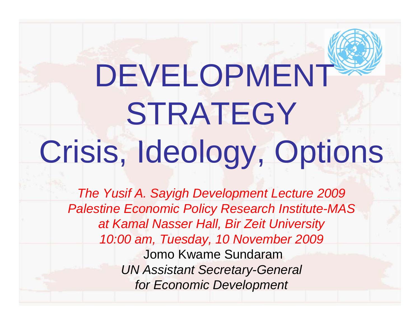#### DEVELOPMENT **STRATEGY** Crisis, Ideology, Opti ptions

*The Yusif A. Sayigh Development Lecture 2009 Palestine Economic Policy Research Institute-MAS at Kamal Nasser Hall Bir Zeit University Hall, 10:00 am, Tuesday, 10 November 2009* Jomo Kwame Sundaram*UN Assistant Secretary-General for Economic Development*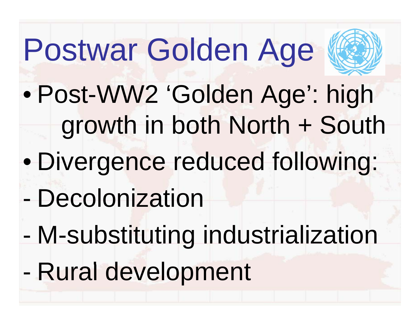# Postwar Golden Age

- $\bullet$ • Post-WW2 'Golden Age': high growth in both North + South
- $\bullet$ Divergence reduced following:
- **Decolonization**
- M-substituting industrialization
- Rural development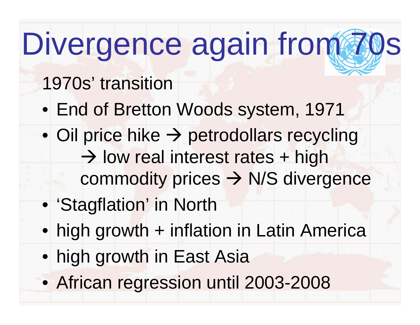# Divergence again from 70s

- 1970s' transition
- End of Bretton Woods system, 1971
- Oil price hike  $\rightarrow$  petrodollars recycling  $\rightarrow$  low real interest rates + high commodity prices  $\rightarrow$  N/S divergence
- 'Stagflation' in North
- high growth + inflation in Latin America
- $\bullet\,$  high growth in East Asia  $\,$
- African regression until 2003-2008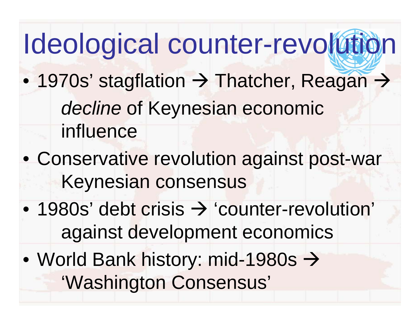### Ideological counter-revolution

- 1970s' stagflation  $\rightarrow$  Thatcher, Reagan  $\rightarrow$ *decline* of Keynesian economic influence
- Conservative revolution against post-war Keynesian consensus
- 1980s' debt crisis  $\rightarrow$  'counter-revolution' against development economics
- World Bank history: mid-1980s → 'Washington Consensus'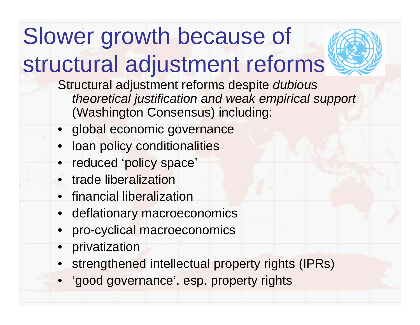### Slower growth because of

#### structural adjustment reforms

- Structural adjustment reforms despite *dubious theoretical justification and weak empirical support and empirical support* (Washington Consensus) including:
- •global economic governance
- •loan policy conditionalities
- •reduced 'policy space'
- trade liberalization
- financial liberalization
- •deflationary macroeconomics
- •pro-cyclical macroeconomics
- •privatization
- •strengthened intellectual property rights (IPRs)
- 'good governance', esp. property rights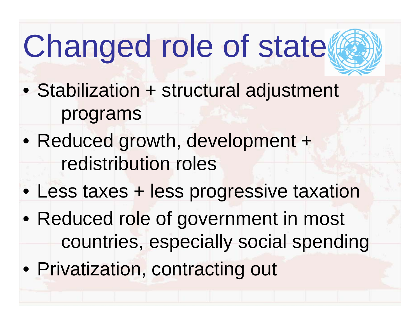# Changed role of state

- Stabilization + structural adjustment programs
- Reduced growth, development + redistribution roles
- Less taxes + less progressive taxation
- Reduced role of government in most countries, especially social spending
- Privatization, contracting out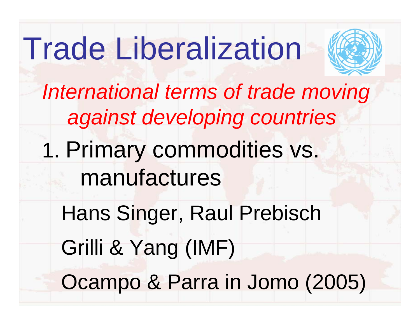## Trade Liberalization



*International terms of trade movin g against developing countries* 1. Primary commodities vs. manufactures

Hans Sin ger, Raul Prebisch Grilli & Yang (IMF) Ocampo & Parra in Jomo (2005)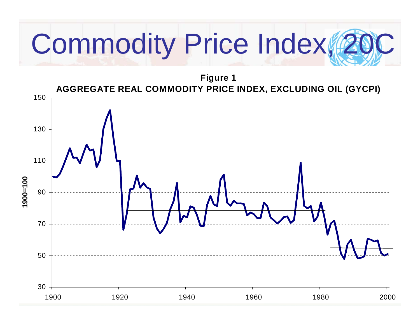# Commodity Price Index,

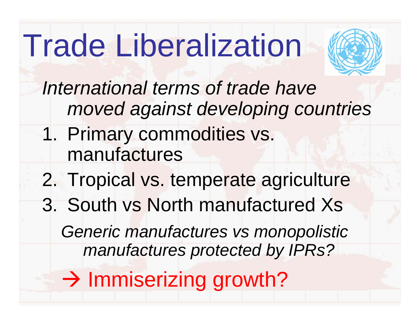## Trade Liberalization



*International terms of trade have moved against developing countries*

- 1. Primar y commodities vs. manufactures
- 2. Tropical vs. temperate agriculture
- 3. South vs North manufactured Xs

*Generic manufactures vs monopolistic manufactures protected by IPRs?*

 $\rightarrow$  Immiserizing growth?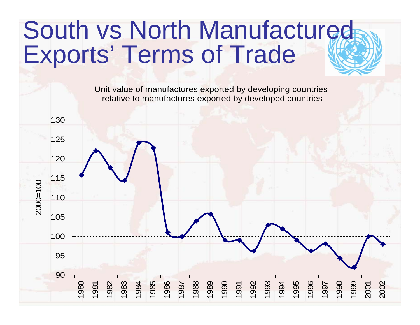#### South vs North Manufactured Exports ' Terms of Trade

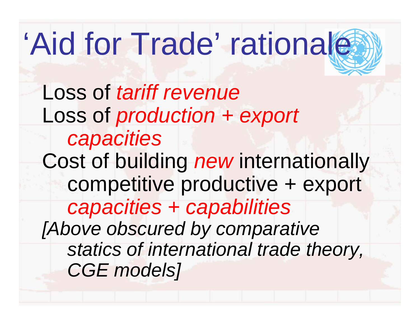## 'Aid for Trade' rationale

Loss of *tariff revenue* Loss of *production + export capacities* Cost of building *new* internationally competitive productive + export *capacities + capabilities [Above obscured by comparative statics of international trade theory, CGE d l ] CGE mo de ls]*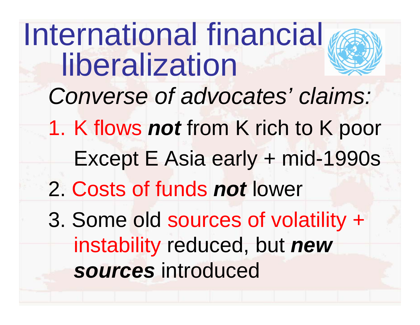International financial liberalization *Converse of advocates Converse ' claims:* 1. K flows *not* from K rich to K poor Except E Asia early + mid-1990s 2. Costs of funds *not* lower 3. Some old sources of volatility + instability reduced, but *new*  sources introduced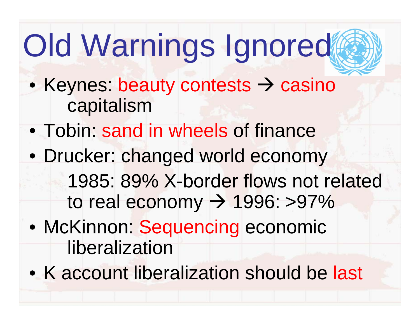# Old Warnings Ignored

- Keynes: beauty contests  $\rightarrow$  casino capitalism
- Tobin: sand in wheels of finance
- Drucker: changed world economy
	- 1985: 89% X-border flows not related to real economy 1996: >97%
- McKinnon: Sequencing economic liberalization
- K account liberalization should be last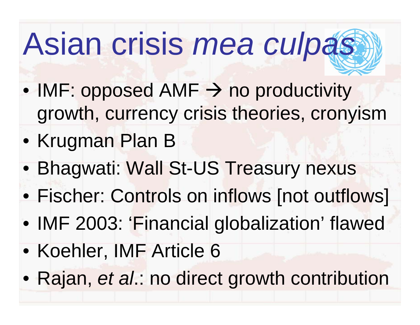#### Asian crisis *mea culp a s*

- $\bullet$  IMF: opposed AMF  $\rightarrow$  no productivity growth, currency crisis theories, cronyism
- Krugman Plan B
- Bhagwati: Wall St-US Treasury nexus
- Fischer: Controls on inflows [not outflows]
- IMF 2003: 'Financial globalization' flawed
- Koehler, IMF Article 6
- Rajan, *et al*.: no direct growth contribution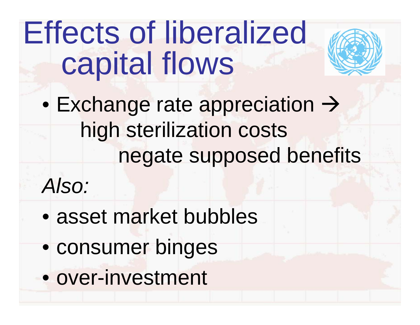### Effects of liberalized capital flows

- $\bullet$  $\bullet$  Exchange rate appreciation  $\rightarrow$ high sterilization costs negate supposed benefits
- *Also:*
- $\bullet$ asset market bubbles
- $\bullet$ consumer binges
- $\bullet$ over-investment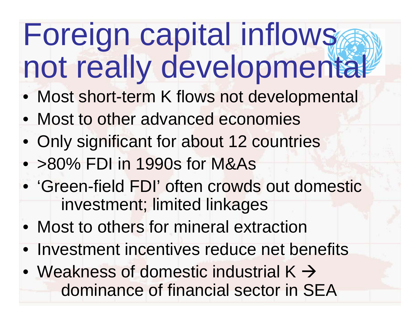#### Foreign capital inflows not really developmental ta

- Most short-term K flows not developmental
- Most to other advanced economies
- Only significant for about 12 countries
- >80% FDI in 1990s for M&As
- 'Green-field FDI' often crowds out domestic investment; limited linkages
- Most to others for mineral extraction
- Investment incentives reduce net benefits
- Weakness of domestic industrial K  $\rightarrow$ dominance of financial sector in SEA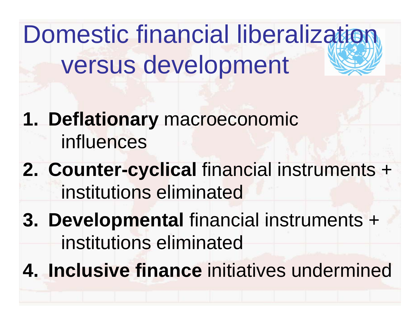Domestic financial liberalization versus development u de velopment

- **1. Deflationary** macroeconomic influences
- **2. Counter-cyclical** financial instruments + institutions eliminated
- **3 . Developmental** financial instruments <sup>+</sup> institutions eliminated
- **4. Inclusive finance initiatives undermined**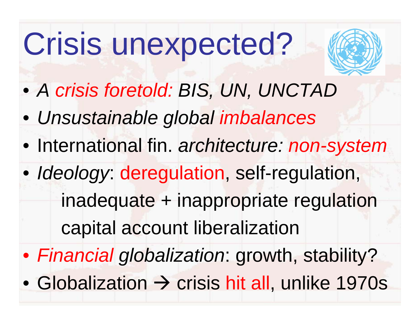## Crisis unex pected?



- *A crisis foretold: BIS, UN, UNCTAD*
- *Unsustainable global imbalances*
- International fin. *architecture: non-system*
- *Ideology*: deregulation, self-regulation,

inadequate + inappropriate regulation capital account liberalization

- Financial globalization: growth, stability?
- Globalization  $\rightarrow$  crisis hit all, unlike 1970s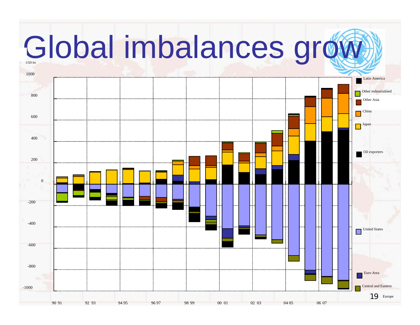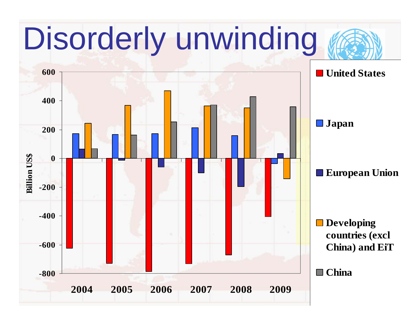#### Disorderly unwinding **400600 United States200Japan Japan <mark>III | Japan</mark> | Japan | Japan | Japan | Japan | Japan | Japan | Japan | Japan | Japan | Japan | Japan | Japan | Japan | Japan | Japan | Japan | Japan | Japan | Japan | Japan | Japan | Japan | Japan | Japan | 0lion de Lander de Lander de Lander de Lander (de Lander de Lander de Lander de Lander de Lander de Lander de L**<br>En 1980 de la provincia de la provincia de la provincia de la provincia de la provincia de la provincia de la **-400-200 Billion US\$ Developing -600 countries (excl China) and EiT -8002004 2005 2006 2007 2008 2009China**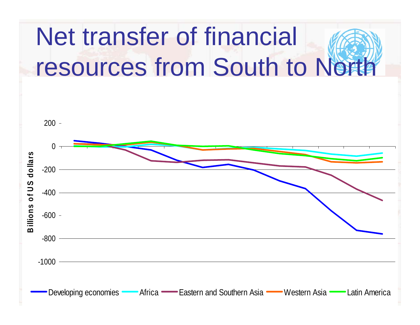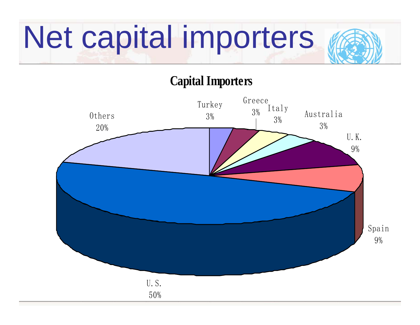# Net capital importers

#### **Capital Importers**

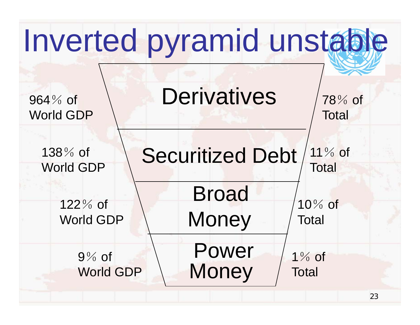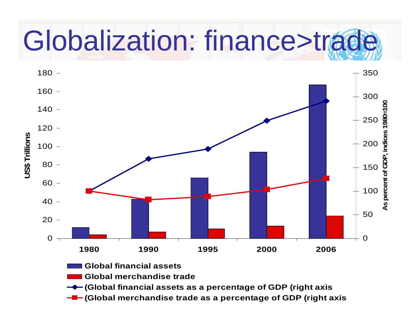## Globalization: finance>trade



**Global financial assets assetsGlobal merchandise trade(Global financial assets as a percentage of GDP (right axis (Global merchandise trade as a percentage of GDP (right axis**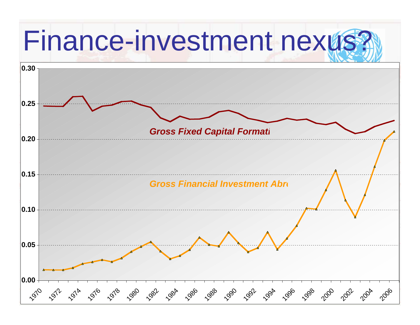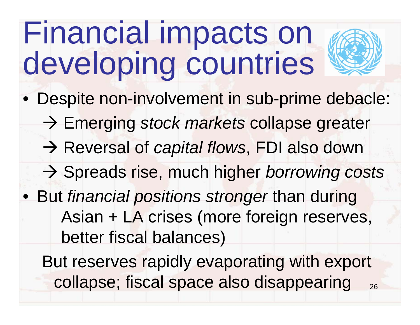### Financial impacts on developing countries

- Despite non-involvement in sub-prime debacle: Emerging *stock markets* collapse greater  $\rightarrow$  Reversal of *capital flows*, FDI also down Spreads rise, much higher *borrowing costs* • But *financial positions stronger* than during Asian + LA crises (more foreign reserves, better fiscal balances) But reserves rapidly evaporating with export
	- collapse; fiscal space also disappearing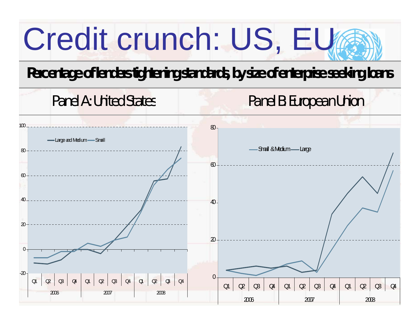# Credit crunch: US, EU

#### Percentage of lenders tightening standards, by size of enterprise seeking loans

![](_page_26_Figure_2.jpeg)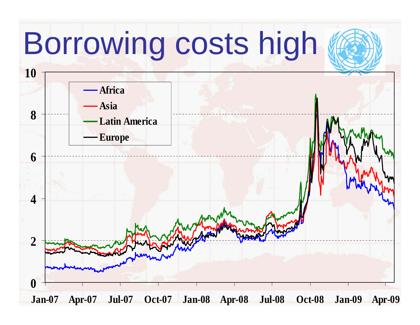![](_page_27_Figure_0.jpeg)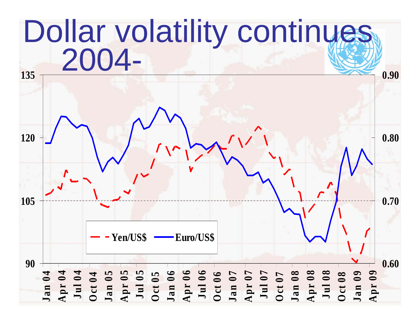![](_page_28_Figure_0.jpeg)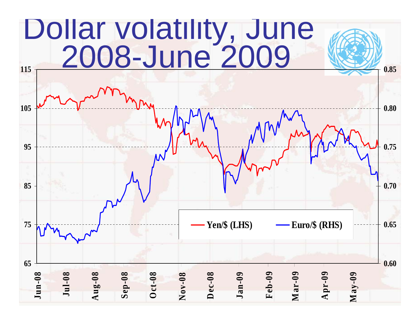![](_page_29_Figure_0.jpeg)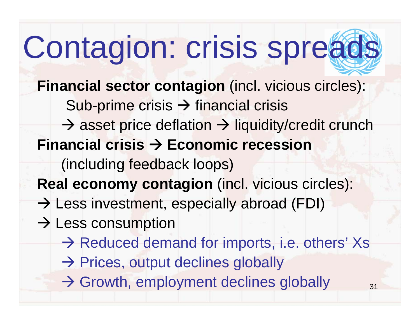# Contagion: crisis spreads

**Financial sector contagion** (incl. vicious circles): Sub-prime crisis  $\rightarrow$  financial crisis  $\rightarrow$  asset price deflation  $\rightarrow$  liquidity/credit crunch **Fi i l i i Financial crisis Ei i conomic recession** (including feedback loops) **Real economy contagion** (incl. vicious circles): → Less investment, especially abroad (FDI)  $\rightarrow$  Less consumption  $\rightarrow$  Reduced demand for imports, i.e. others' Xs  $\rightarrow$  Prices, output declines globally

 $\rightarrow$  Growth, employment declines globally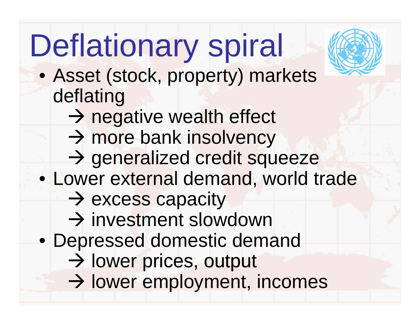#### Deflationar y spiral

![](_page_31_Picture_1.jpeg)

- Asset (stock, property) markets deflating
	- → negative wealth effect
	- $\rightarrow$  more bank insolvency
	- → generalized credit squeeze
- Lower external demand, world trade
	- $\rightarrow$  excess capacity
	- $\rightarrow$  investment slowdown
- Depressed domestic demand
	- $\rightarrow$  lower prices, output
	- $\rightarrow$  lower employment, incomes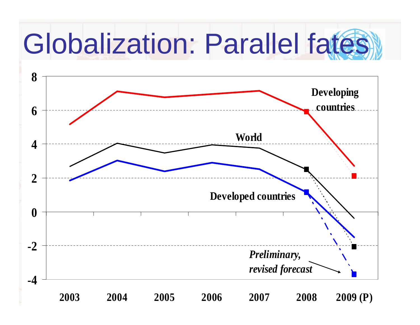# Globalization: Parallel fates

![](_page_32_Figure_1.jpeg)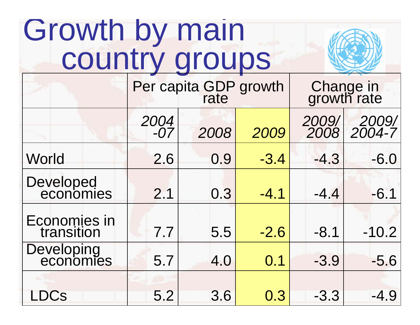| Growth by main<br>country groups |                       |      |        |                          |                            |  |  |  |
|----------------------------------|-----------------------|------|--------|--------------------------|----------------------------|--|--|--|
|                                  | Per capita GDP growth |      |        | Change in<br>growth rate |                            |  |  |  |
|                                  | 2004<br>-07           | 2008 | 2009   |                          | 2009/ 2009/<br>2008 2004-7 |  |  |  |
| World                            | 2.6                   | 0.9  | $-3.4$ | $-4.3$                   | $-6.0$                     |  |  |  |
| Developed<br>economies           | 2.1                   | 0.3  | $-4.1$ | $-4.4$                   | $-6.1$                     |  |  |  |
| Economies in<br>transition       | 7.7                   | 5.5  | $-2.6$ | $-8.1$                   | $-10.2$                    |  |  |  |
| Developing<br>economies          | 5.7                   | 4.0  | 0.1    | $-3.9$                   | $-5.6$                     |  |  |  |
| LDCs                             | 5.2                   | 3.6  | 0.3    | $-3.3$                   | $-4.9$                     |  |  |  |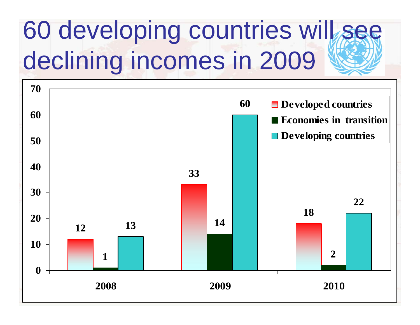### 60 developing countries will see declining incomes in 2009

![](_page_34_Figure_1.jpeg)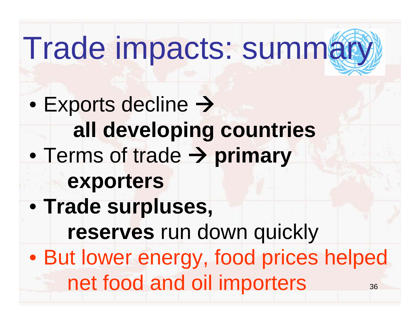# Trade impacts: summary

- $\bullet$ • Exports decline  $\rightarrow$ **all developing countries**  $\bullet$  Terms of trade **primary exporters**
- $\bullet$  **Trade surpluses, reserves** run down quickly  $\bullet$ 
	- But lower energy, food prices helped<br>net food and oil importers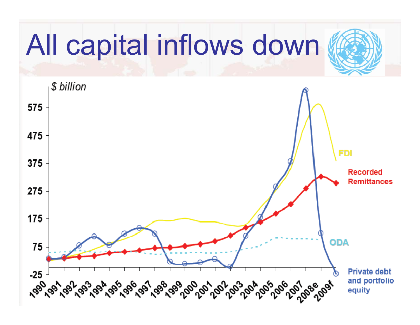![](_page_36_Picture_0.jpeg)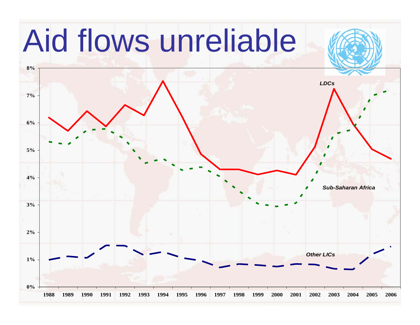![](_page_37_Figure_0.jpeg)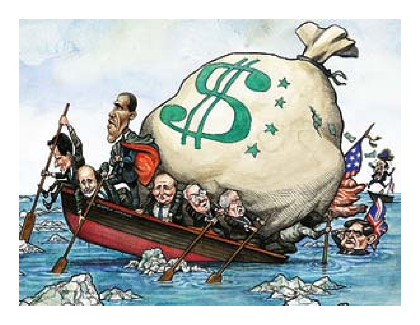![](_page_38_Picture_0.jpeg)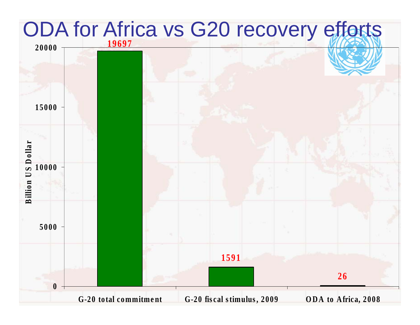![](_page_39_Figure_0.jpeg)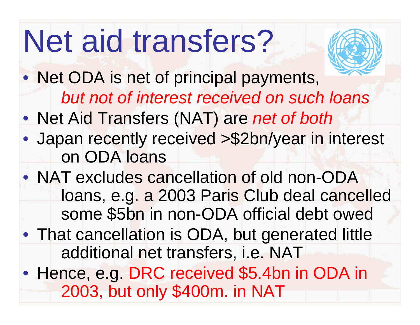## Net aid transfers?

![](_page_40_Picture_1.jpeg)

• Net ODA is net of principal payments, *but not of interest received on such loans not*

- Net Aid Transfers (NAT) are *net of both*
- $\bullet$ • Japan recently received >\$2bn/year in interest on ODA loans
- NAT excludes cancellation of old non-ODA loans, e.g. a 2003 Paris Club deal cancelled some \$5bn in non-ODA official debt owed
- That cancellation is ODA, but generated little additional net transfers, i.e. NAT
- $\bullet$ • Hence, e.g. DRC received \$5.4bn in ODA in 2003, but only \$400m. in NAT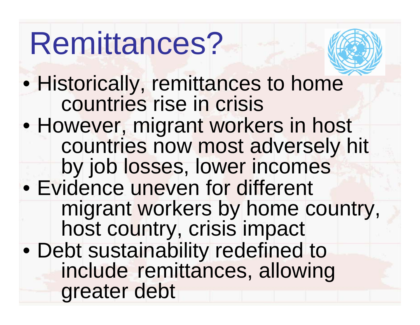## Remittances?

![](_page_41_Picture_1.jpeg)

•Historically, remittances to home countries rise in crisis • However, migrant workers in host countries now most adversely hit by job losses, lower incomes  $\bullet$ • Evidence uneven for different migrant workers by home country, host country, crisis impact  $\bullet$ Debt sustainability redefined to include remittances, allowing greater debt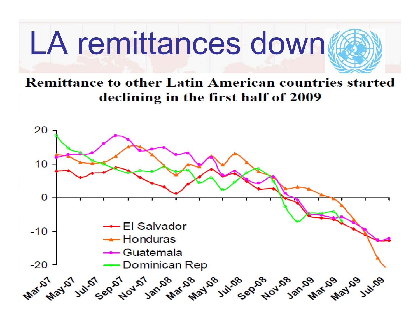![](_page_42_Picture_0.jpeg)

**Remittance to other Latin American countries started** declining in the first half of 2009

![](_page_42_Figure_2.jpeg)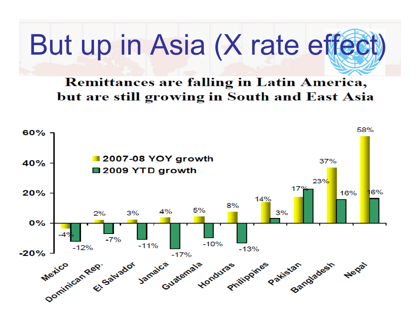![](_page_43_Picture_0.jpeg)

#### **Remittances are falling in Latin America,** but are still growing in South and East Asia

![](_page_43_Figure_2.jpeg)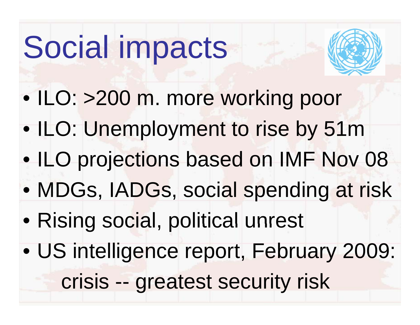# Social impacts

![](_page_44_Picture_1.jpeg)

- $\bullet$ • ILO: >200 m. more working poor
- $\bullet$ ILO: Unemployment to rise by 51m
- $\bullet$ ILO projections based on IMF Nov 08
- $\bullet$ • MDGs, IADGs, social spending at risk
- •• Rising social, political unrest
- $\bullet$  US intelligence report, February 2009: crisis -- greatest security risk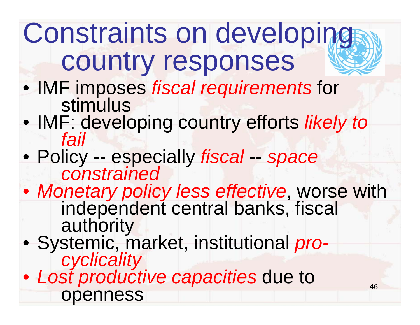### Constraints on developing country responses

- IMF imposes *fiscal requirements* for stimulus
- IMF: developing country efforts *likely to fail*
- Policy -- especially *fiscal* -- *space constrained*
- *Monetary policy less effective*, worse with independent central banks, fiscal authority
- Systemic, market, institutional *pro- cyclicality*
- *Lost productive capacities* due to openness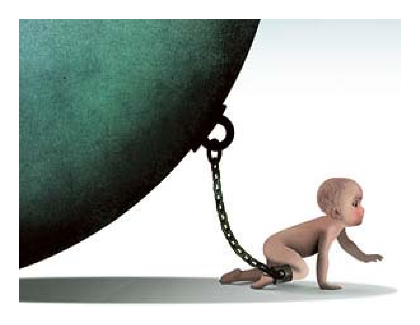![](_page_46_Picture_0.jpeg)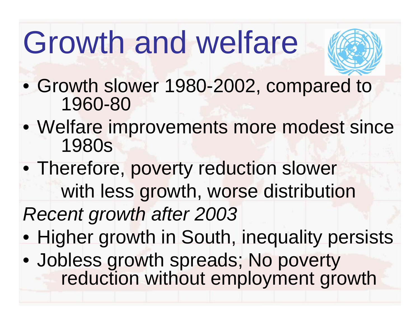## Growth and welfare

![](_page_47_Picture_1.jpeg)

- Growth slower 1980-2002, compared to 1960 -80
- Welfare improvements more modest since 1980s
- Therefore, poverty reduction slower with less growth, worse distribution *Recent growth after 2003*
- Higher growth in South, inequality persists
- Jobless growth spreads; No poverty reduction without employment growth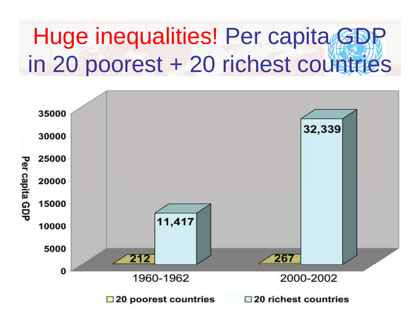#### Huge inequalities! Per capita GDP in 20 poorest + 20 richest countries

![](_page_48_Figure_1.jpeg)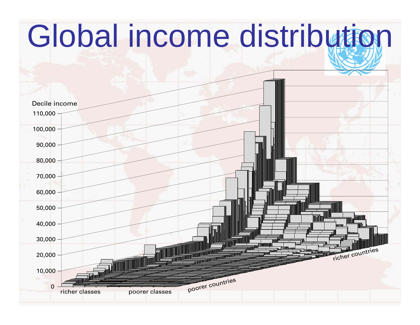![](_page_49_Figure_0.jpeg)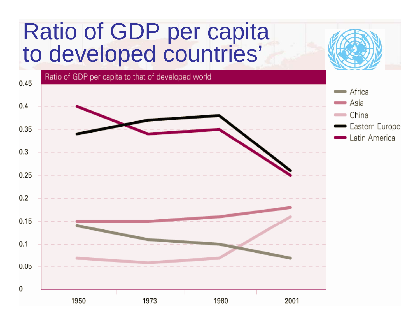#### Ratio of GDP per capita to developed countries'

![](_page_50_Figure_2.jpeg)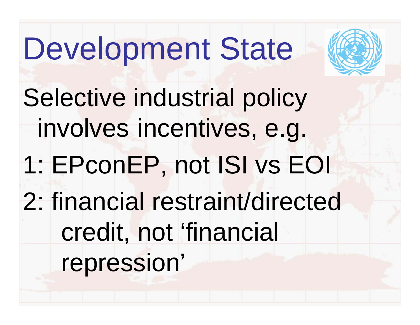Development State Selective industrial policy involves incentives, e.g. 1: EPconEP, not ISI vs EOI 2: financial restraint/directed credit, not 'financial repression'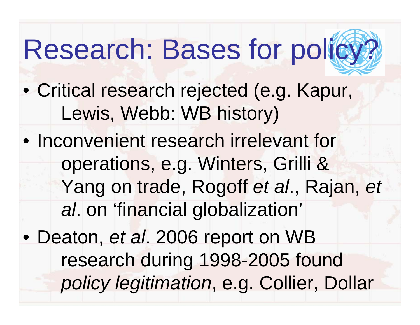#### Research: Bases for policy **?**

- Critical research rejected (e.g. Kapur, Lewis, Webb: WB history)
- Inconvenient research irrelevant for operations, e.g. Winters, Grilli & Yang on trade, Rogoff *et al*., Rajan, *et al*. on 'financial globalization' • Deaton, *et al*. 2006 report on WB research during 1998-2005 found
	- *policy legitimation*, e.g. Collier, Dollar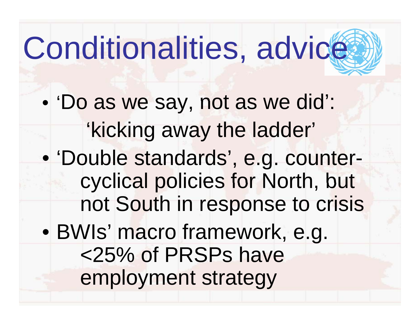# Conditionalities, advice

- $\bullet$ • 'Do as we say, not as we did': 'kicking away the ladder'  $\bullet$ 
	- 'Double standards', e.g. countercyclical policies for North, but not South in response to crisis
- $\bullet$  BWIs' macro framework, e.g. <25% of PRSPs have employment strategy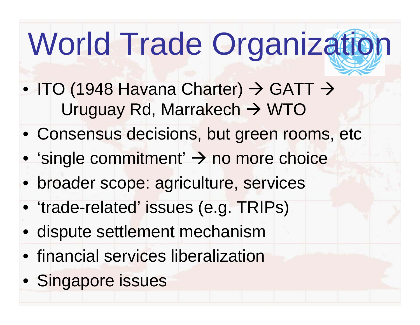# World Trade Organization

- ITO (1948 Havana Charter)  $\rightarrow$  GATT  $\rightarrow$ Uruguay Rd, Marrakech → WTO
- Consensus decisions, but green rooms, etc
- $\bullet\,$  'single commitment'  $\to$  no more choice
- broader scope: agriculture, services
- 'trade-related' issues (e.g. TRIPs)
- dispute settlement mechanism
- financial services liberalization
- Singapore issues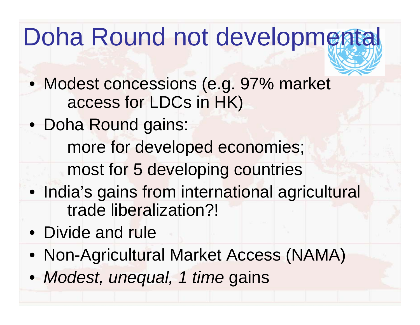#### Doha Round not developmental

- Modest concessions (e.g. 97% market access for LDCs in HK)
- Doha Round gains:
	- more for developed economies;
	- most for 5 developing countries
- India's gains from international agricultural trade liberalization?!
- Divide and rule
- Non-Agricultural Market Access (NAMA)
- *Modest, unequal, 1 time* gains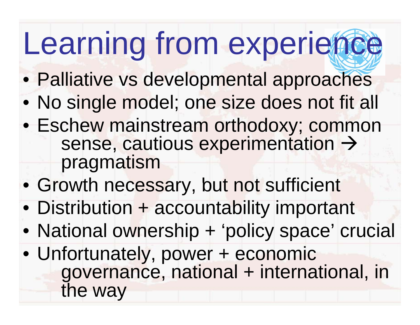# Learning from experience

- Palliative vs developmental approaches
- No single model; one size does not fit all
- Eschew mainstream orthodoxy; common sense, cautious experimentation  $\rightarrow$ pragmatism
- Growth necessary, but not sufficient
- Distribution + accountability important
- National ownership + 'policy space' crucial
- Unfortunately, power + economic governance, national + international, in the way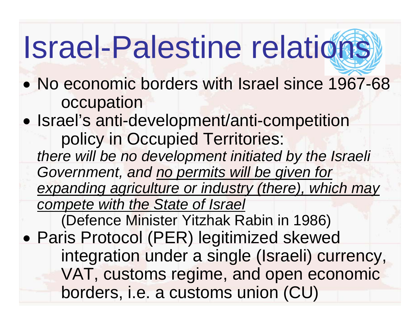## Israel-Palestine relations

- No economic borders with Israel since 1967-68 occupation
- $\bullet$ • Israel's anti-development/anti-competition policy in Occupied Territories:
	- *there will be no development initiated by the Israeli Government, and no permits will be given for*  expanding agriculture or industry (there), which may *compete with the State of Israel*

(Defence Minister Yitzhak Rabin in 1986)

 $\bullet$  Paris Protocol (PER) legitimized skewed integration under a single (Israeli) currency, VAT, customs regime, and open economic borders, i.e. a customs union (CU)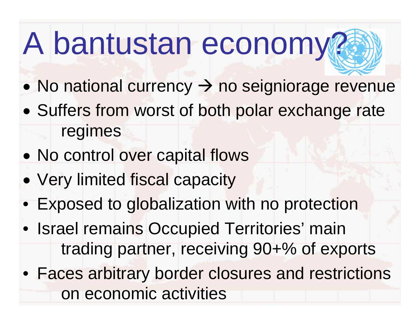#### A bantustan econom y 14

- $\bullet$ • No national currency  $\rightarrow$  no seigniorage revenue
- $\bullet$ • Suffers from worst of both polar exchange rate regimes
- $\bullet$ • No control over capital flows
- $\bullet$ • Very limited fiscal capacity
- Exposed to globalization with no protection
- Israel remains Occupied Territories' main trading partner, receiving 90+% of exports
- Faces arbitrary border closures and restrictions on economic activities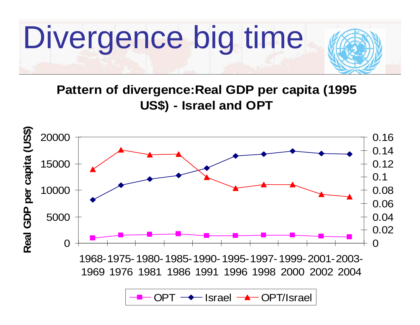![](_page_59_Picture_0.jpeg)

**Pattern of divergence:Real GDP per capita (1995 US\$) O - Israel and OPT**

![](_page_59_Figure_2.jpeg)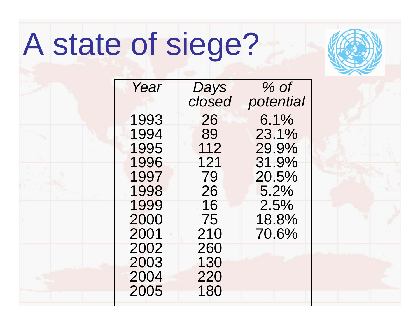# A state of sie ge?

| Year | Days   | $%$ of    |  |
|------|--------|-----------|--|
|      | closed | potential |  |
| 1993 | 26     | 6.1%      |  |
| 1994 | 89     | 23.1%     |  |
| 1995 | 112    | 29.9%     |  |
| 1996 | 121    | 31.9%     |  |
| 1997 | 79     | 20.5%     |  |
| 1998 | 26     | 5.2%      |  |
| 1999 | 16     | 2.5%      |  |
| 2000 | 75     | 18.8%     |  |
| 2001 | 210    | 70.6%     |  |
| 2002 | 260    |           |  |
| 2003 | 130    |           |  |
| 2004 | 220    |           |  |
| 2005 | 180    |           |  |
|      |        |           |  |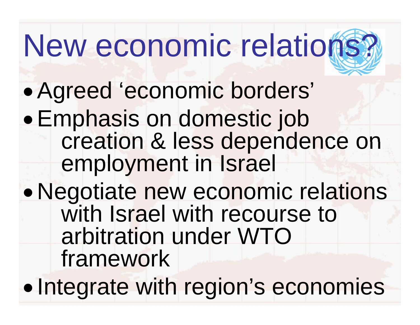## New economic relations?

- Agreed 'economic borders'
- Emphasis on domestic job creation & less dependence on employment in Israel
- $\bullet$  Negotiate new economic relations with Israel with recourse to arbitration under WTO framework
- $\bullet$ • Integrate with region's economies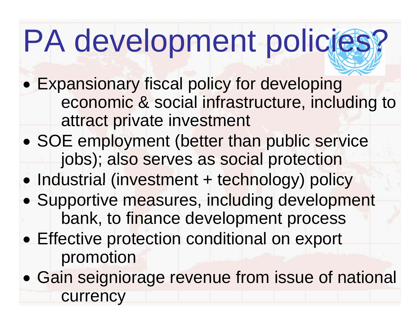# PA development policies?

- $\bullet$  Expansionary fiscal policy for developing economic & social infrastructure, including to attract private investment
- $\bullet$ • SOE employment (better than public service jobs); also serves as social protection
- $\bullet$ • Industrial (investment + technology) policy
- $\bullet$ • Supportive measures, including development bank, to finance development process
- $\bullet$  Effective protection conditional on export promotion
- $\bullet$ • Gain seigniorage revenue from issue of national currency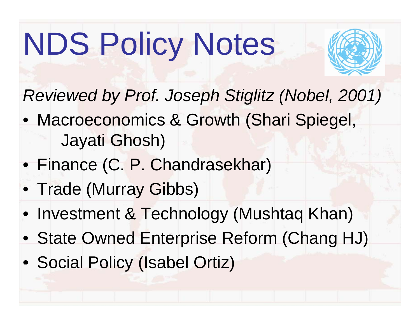# NDS Policy Notes

![](_page_63_Picture_1.jpeg)

*Reviewed by Prof. Joseph Stiglitz (Nobel, 2001) Stiglitz*

- Macroeconomics & Growth (Shari Spiegel, Jayati Ghosh)
- Finance (C. P. Chandrasekhar)
- Trade (Murray Gibbs)
- Investment & Technology (Mushtaq Khan)
- State Owned Enterprise Reform (Chang HJ)
- Social Policy (Isabel Ortiz)